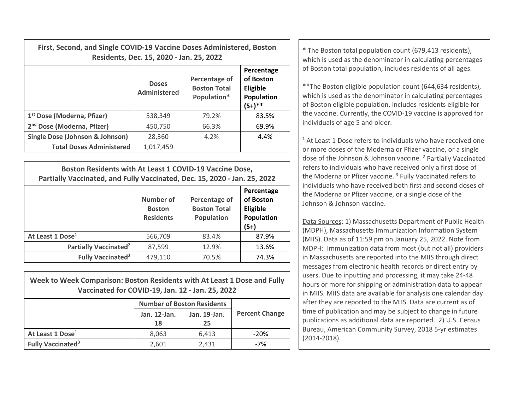| First, Second, and Single COVID-19 Vaccine Doses Administered, Boston | Residents, Dec. 15, 2020 - Jan. 25, 2022 | * The Boston total population count (679,413 residents),<br>which is used as the denominator in calculating percentages |                                                                |                                                                                                                                                                                                                                                              |  |  |
|-----------------------------------------------------------------------|------------------------------------------|-------------------------------------------------------------------------------------------------------------------------|----------------------------------------------------------------|--------------------------------------------------------------------------------------------------------------------------------------------------------------------------------------------------------------------------------------------------------------|--|--|
|                                                                       | <b>Doses</b><br><b>Administered</b>      | Percentage of<br><b>Boston Total</b><br>Population*                                                                     | Percentage<br>of Boston<br>Eligible<br>Population<br>$(5+)$ ** | of Boston total population, includes residents of all ages.<br>** The Boston eligible population count (644,634 residents),<br>which is used as the denominator in calculating percentages<br>of Boston eligible population, includes residents eligible for |  |  |
| 1 <sup>st</sup> Dose (Moderna, Pfizer)                                | 538,349                                  | 79.2%                                                                                                                   | 83.5%                                                          | the vaccine. Currently, the COVID-19 vaccine is approved for                                                                                                                                                                                                 |  |  |
| 2 <sup>nd</sup> Dose (Moderna, Pfizer)                                | 450,750                                  | 66.3%                                                                                                                   | 69.9%                                                          | individuals of age 5 and older.                                                                                                                                                                                                                              |  |  |
| Single Dose (Johnson & Johnson)                                       | 28,360                                   | 4.2%                                                                                                                    | 4.4%                                                           | <sup>1</sup> At Least 1 Dose refers to individuals who have received on                                                                                                                                                                                      |  |  |
| <b>Total Doses Administered</b>                                       | 1,017,459                                |                                                                                                                         |                                                                | or more doses of the Moderna or Pfizer vaccine, or a single                                                                                                                                                                                                  |  |  |

**Boston Residents with At Least 1 COVID‐19 Vaccine Dose, Partially Vaccinated, and Fully Vaccinated, Dec. 15, 2020 ‐ Jan. 25, 2022**

|                                         | <b>Number of</b><br><b>Boston</b><br><b>Residents</b> | Percentage of<br><b>Boston Total</b><br>Population | Percentage<br>of Boston<br>Eligible<br>Population<br>$(5+)$ |
|-----------------------------------------|-------------------------------------------------------|----------------------------------------------------|-------------------------------------------------------------|
| At Least 1 Dose <sup>1</sup>            | 566,709                                               | 83.4%                                              | 87.9%                                                       |
| <b>Partially Vaccinated<sup>2</sup></b> | 87,599                                                | 12.9%                                              | 13.6%                                                       |
| <b>Fully Vaccinated<sup>3</sup></b>     | 479,110                                               | 70.5%                                              | 74.3%                                                       |

| Week to Week Comparison: Boston Residents with At Least 1 Dose and Fully<br>Vaccinated for COVID-19, Jan. 12 - Jan. 25, 2022 |                                   |              |                       |  |  |  |  |
|------------------------------------------------------------------------------------------------------------------------------|-----------------------------------|--------------|-----------------------|--|--|--|--|
|                                                                                                                              | <b>Number of Boston Residents</b> |              |                       |  |  |  |  |
|                                                                                                                              | Jan. 12-Jan.                      | Jan. 19-Jan. | <b>Percent Change</b> |  |  |  |  |
|                                                                                                                              | 18                                | 25           |                       |  |  |  |  |
| At Least 1 Dose <sup>1</sup>                                                                                                 | 8,063                             | 6,413        | $-20%$                |  |  |  |  |
| <b>Fully Vaccinated<sup>3</sup></b>                                                                                          | 2,601                             | 2,431        | $-7%$                 |  |  |  |  |

 $1$  At Least 1 Dose refers to individuals who have received one or more doses of the Moderna or Pfizer vaccine, or <sup>a</sup> single dose of the Johnson & Johnson vaccine. <sup>2</sup> Partially Vaccinated refers to individuals who have received only <sup>a</sup> first dose of the Moderna or Pfizer vaccine. <sup>3</sup> Fully Vaccinated refers to individuals who have received both first and second doses of the Moderna or Pfizer vaccine, or <sup>a</sup> single dose of the Johnson& Johnson vaccine.

Data Sources: 1) Massachusetts Department of Public Health (MDPH), Massachusetts Immunization Information System (MIIS). Data as of 11:59 pm on January 25, 2022. Note from MDPH: Immunization data from most (but not all) providers in Massachusetts are reported into the MIIS through direct messages from electronic health records or direct entry by users. Due to inputting and processing, it may take 24‐48 hours or more for shipping or administration data to appear in MIIS. MIIS data are available for analysis one calendar day after they are reported to the MIIS. Data are current as of time of publication and may be subject to change in future publications as additional data are reported. 2) U.S. Census Bureau, American Community Survey, 2018 5‐yr estimates (2014‐2018).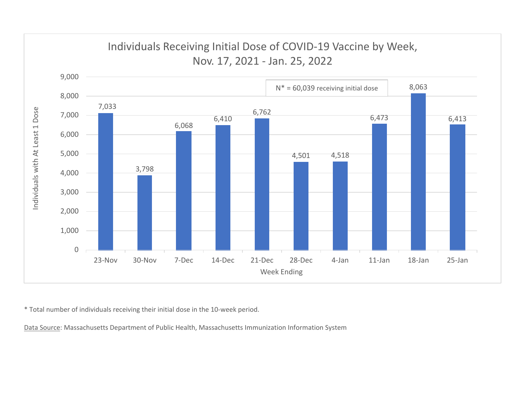

\* Total number of individuals receiving their initial dose in the 10‐week period.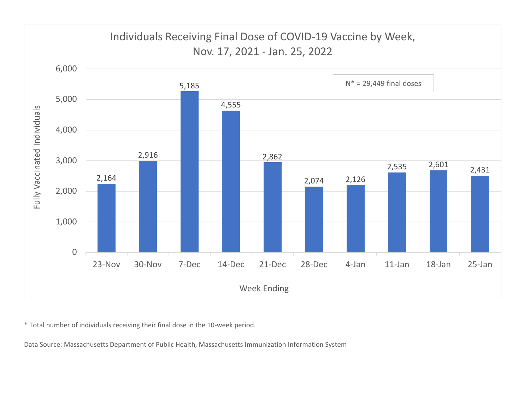

\* Total number of individuals receiving their final dose in the 10‐week period.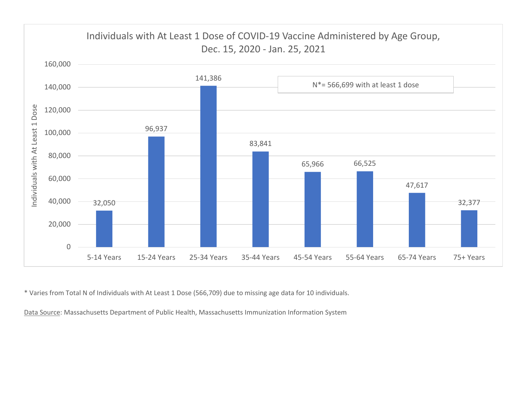

\* Varies from Total N of Individuals with At Least 1 Dose (566,709) due to missing age data for 10 individuals.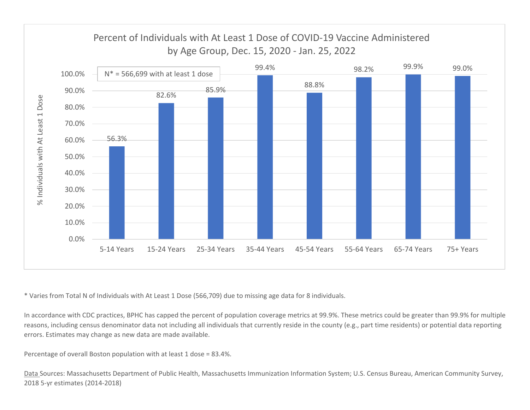

\* Varies from Total N of Individuals with At Least 1 Dose (566,709) due to missing age data for 8 individuals.

In accordance with CDC practices, BPHC has capped the percent of population coverage metrics at 99.9%. These metrics could be greater than 99.9% for multiple reasons, including census denominator data not including all individuals that currently reside in the county (e.g., part time residents) or potential data reporting errors. Estimates may change as new data are made available.

Percentage of overall Boston population with at least 1 dose <sup>=</sup> 83.4%.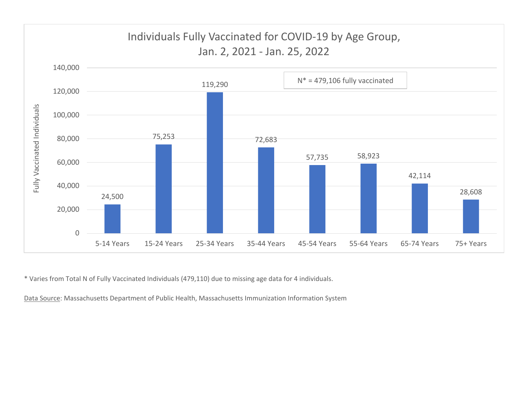

\* Varies from Total N of Fully Vaccinated Individuals (479,110) due to missing age data for 4 individuals.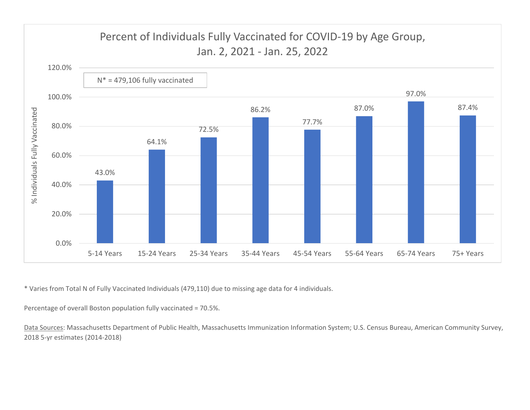

\* Varies from Total N of Fully Vaccinated Individuals (479,110) due to missing age data for 4 individuals.

Percentage of overall Boston population fully vaccinated <sup>=</sup> 70.5%.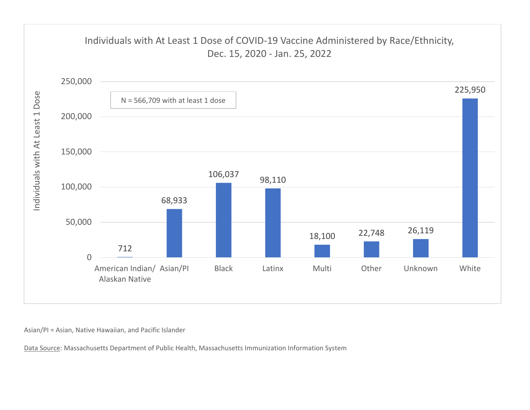

Asian/PI <sup>=</sup> Asian, Native Hawaiian, and Pacific Islander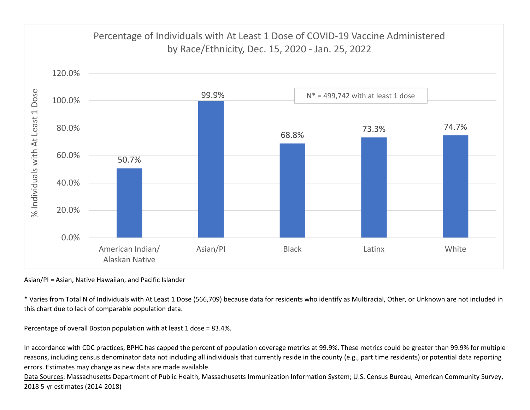

Asian/PI <sup>=</sup> Asian, Native Hawaiian, and Pacific Islander

\* Varies from Total N of Individuals with At Least 1 Dose (566,709) because data for residents who identify as Multiracial, Other, or Unknown are not included in this chart due to lack of comparable population data.

Percentage of overall Boston population with at least 1 dose <sup>=</sup> 83.4%.

In accordance with CDC practices, BPHC has capped the percent of population coverage metrics at 99.9%. These metrics could be greater than 99.9% for multiple reasons, including census denominator data not including all individuals that currently reside in the county (e.g., part time residents) or potential data reporting errors. Estimates may change as new data are made available.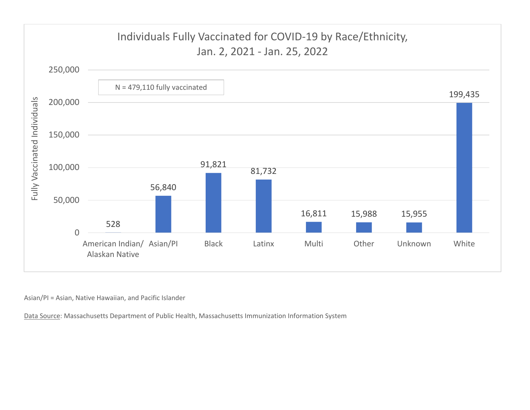

Asian/PI <sup>=</sup> Asian, Native Hawaiian, and Pacific Islander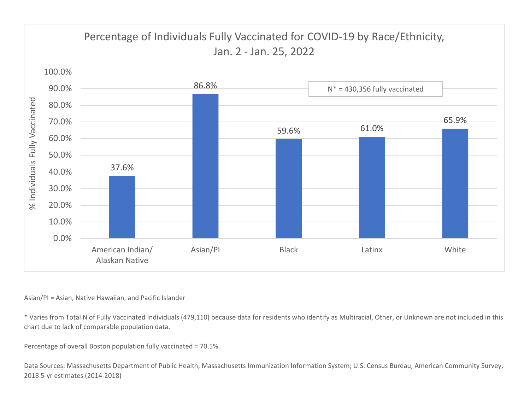

## Asian/PI <sup>=</sup> Asian, Native Hawaiian, and Pacific Islander

\* Varies from Total N of Fully Vaccinated Individuals (479,110) because data for residents who identify as Multiracial, Other, or Unknown are not included in this chart due to lack of comparable population data.

Percentage of overall Boston population fully vaccinated <sup>=</sup> 70.5%.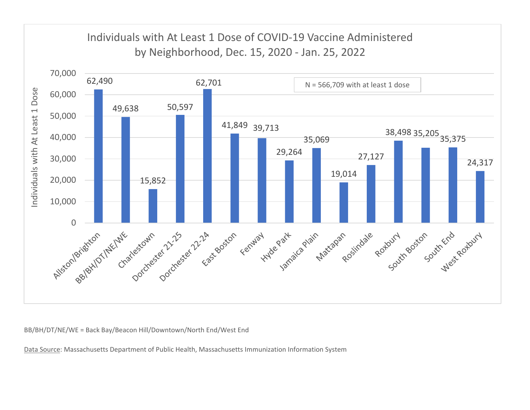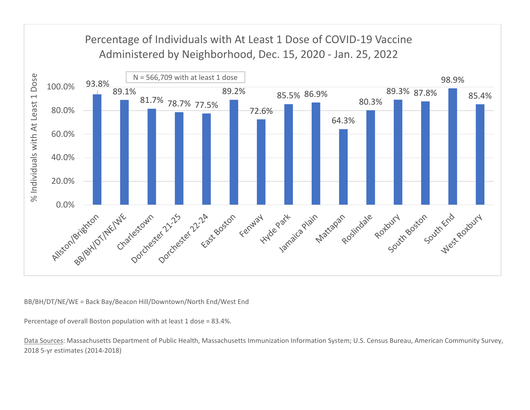

Percentage of overall Boston population with at least 1 dose <sup>=</sup> 83.4%.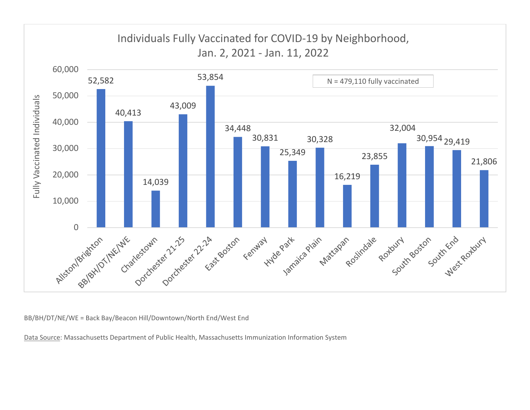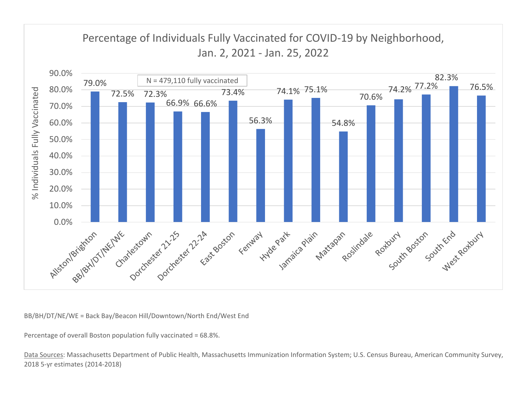

Percentage of overall Boston population fully vaccinated <sup>=</sup> 68.8%.